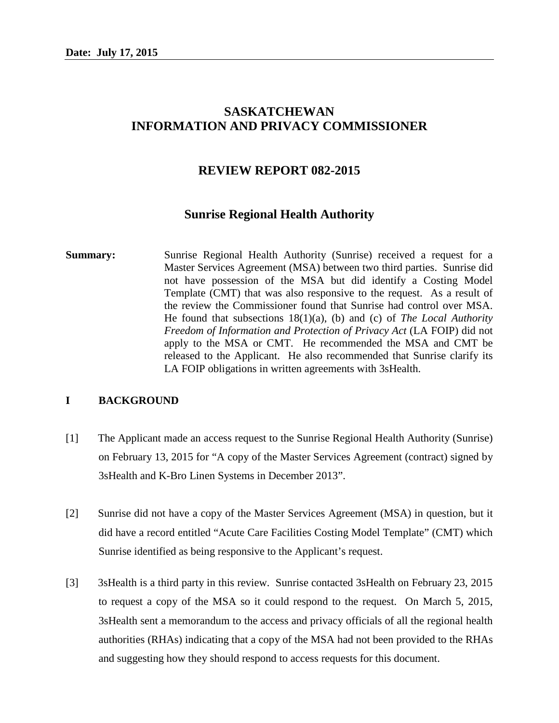# **SASKATCHEWAN INFORMATION AND PRIVACY COMMISSIONER**

# **REVIEW REPORT 082-2015**

# **Sunrise Regional Health Authority**

**Summary:** Sunrise Regional Health Authority (Sunrise) received a request for a Master Services Agreement (MSA) between two third parties. Sunrise did not have possession of the MSA but did identify a Costing Model Template (CMT) that was also responsive to the request. As a result of the review the Commissioner found that Sunrise had control over MSA. He found that subsections 18(1)(a), (b) and (c) of *The Local Authority Freedom of Information and Protection of Privacy Act* (LA FOIP) did not apply to the MSA or CMT. He recommended the MSA and CMT be released to the Applicant. He also recommended that Sunrise clarify its LA FOIP obligations in written agreements with 3sHealth.

### **I BACKGROUND**

- [1] The Applicant made an access request to the Sunrise Regional Health Authority (Sunrise) on February 13, 2015 for "A copy of the Master Services Agreement (contract) signed by 3sHealth and K-Bro Linen Systems in December 2013".
- [2] Sunrise did not have a copy of the Master Services Agreement (MSA) in question, but it did have a record entitled "Acute Care Facilities Costing Model Template" (CMT) which Sunrise identified as being responsive to the Applicant's request.
- [3] 3sHealth is a third party in this review. Sunrise contacted 3sHealth on February 23, 2015 to request a copy of the MSA so it could respond to the request. On March 5, 2015, 3sHealth sent a memorandum to the access and privacy officials of all the regional health authorities (RHAs) indicating that a copy of the MSA had not been provided to the RHAs and suggesting how they should respond to access requests for this document.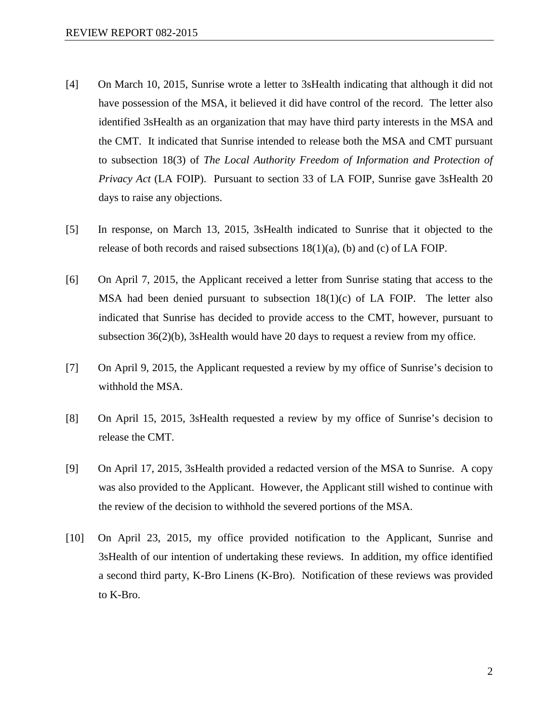- [4] On March 10, 2015, Sunrise wrote a letter to 3sHealth indicating that although it did not have possession of the MSA, it believed it did have control of the record. The letter also identified 3sHealth as an organization that may have third party interests in the MSA and the CMT. It indicated that Sunrise intended to release both the MSA and CMT pursuant to subsection 18(3) of *The Local Authority Freedom of Information and Protection of Privacy Act* (LA FOIP). Pursuant to section 33 of LA FOIP, Sunrise gave 3sHealth 20 days to raise any objections.
- [5] In response, on March 13, 2015, 3sHealth indicated to Sunrise that it objected to the release of both records and raised subsections  $18(1)(a)$ , (b) and (c) of LA FOIP.
- [6] On April 7, 2015, the Applicant received a letter from Sunrise stating that access to the MSA had been denied pursuant to subsection  $18(1)(c)$  of LA FOIP. The letter also indicated that Sunrise has decided to provide access to the CMT, however, pursuant to subsection 36(2)(b), 3sHealth would have 20 days to request a review from my office.
- [7] On April 9, 2015, the Applicant requested a review by my office of Sunrise's decision to withhold the MSA.
- [8] On April 15, 2015, 3sHealth requested a review by my office of Sunrise's decision to release the CMT.
- [9] On April 17, 2015, 3sHealth provided a redacted version of the MSA to Sunrise. A copy was also provided to the Applicant. However, the Applicant still wished to continue with the review of the decision to withhold the severed portions of the MSA.
- [10] On April 23, 2015, my office provided notification to the Applicant, Sunrise and 3sHealth of our intention of undertaking these reviews. In addition, my office identified a second third party, K-Bro Linens (K-Bro). Notification of these reviews was provided to K-Bro.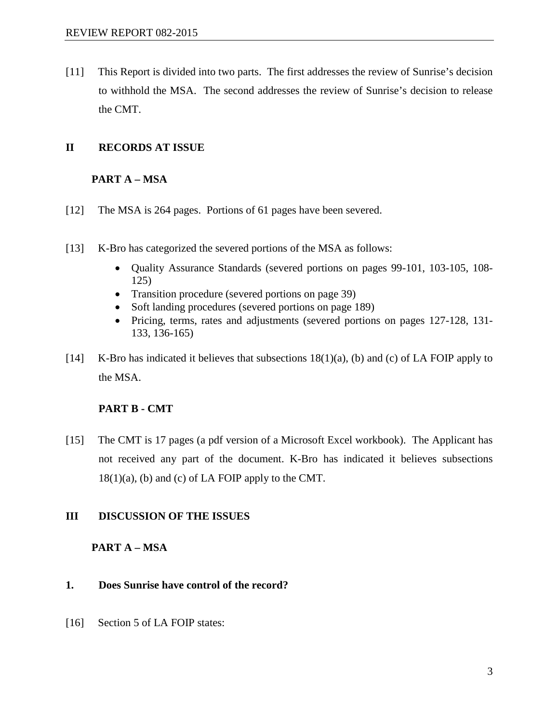[11] This Report is divided into two parts. The first addresses the review of Sunrise's decision to withhold the MSA. The second addresses the review of Sunrise's decision to release the CMT.

# **II RECORDS AT ISSUE**

## **PART A – MSA**

- [12] The MSA is 264 pages. Portions of 61 pages have been severed.
- [13] K-Bro has categorized the severed portions of the MSA as follows:
	- Quality Assurance Standards (severed portions on pages 99-101, 103-105, 108- 125)
	- Transition procedure (severed portions on page 39)
	- Soft landing procedures (severed portions on page 189)
	- Pricing, terms, rates and adjustments (severed portions on pages 127-128, 131- 133, 136-165)
- [14] K-Bro has indicated it believes that subsections 18(1)(a), (b) and (c) of LA FOIP apply to the MSA.

# **PART B - CMT**

[15] The CMT is 17 pages (a pdf version of a Microsoft Excel workbook). The Applicant has not received any part of the document. K-Bro has indicated it believes subsections  $18(1)(a)$ , (b) and (c) of LA FOIP apply to the CMT.

# **III DISCUSSION OF THE ISSUES**

# **PART A – MSA**

# **1. Does Sunrise have control of the record?**

[16] Section 5 of LA FOIP states: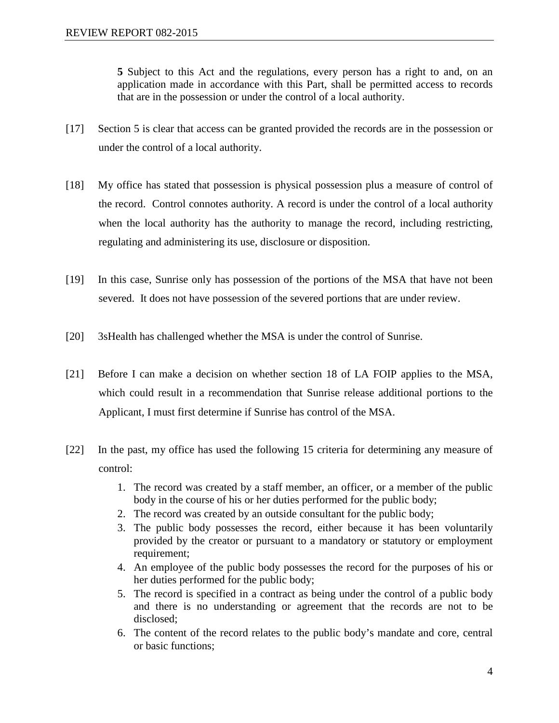**5** Subject to this Act and the regulations, every person has a right to and, on an application made in accordance with this Part, shall be permitted access to records that are in the possession or under the control of a local authority.

- [17] Section 5 is clear that access can be granted provided the records are in the possession or under the control of a local authority.
- [18] My office has stated that possession is physical possession plus a measure of control of the record. Control connotes authority. A record is under the control of a local authority when the local authority has the authority to manage the record, including restricting, regulating and administering its use, disclosure or disposition.
- [19] In this case, Sunrise only has possession of the portions of the MSA that have not been severed. It does not have possession of the severed portions that are under review.
- [20] 3sHealth has challenged whether the MSA is under the control of Sunrise.
- [21] Before I can make a decision on whether section 18 of LA FOIP applies to the MSA, which could result in a recommendation that Sunrise release additional portions to the Applicant, I must first determine if Sunrise has control of the MSA.
- [22] In the past, my office has used the following 15 criteria for determining any measure of control:
	- 1. The record was created by a staff member, an officer, or a member of the public body in the course of his or her duties performed for the public body;
	- 2. The record was created by an outside consultant for the public body;
	- 3. The public body possesses the record, either because it has been voluntarily provided by the creator or pursuant to a mandatory or statutory or employment requirement;
	- 4. An employee of the public body possesses the record for the purposes of his or her duties performed for the public body;
	- 5. The record is specified in a contract as being under the control of a public body and there is no understanding or agreement that the records are not to be disclosed;
	- 6. The content of the record relates to the public body's mandate and core, central or basic functions;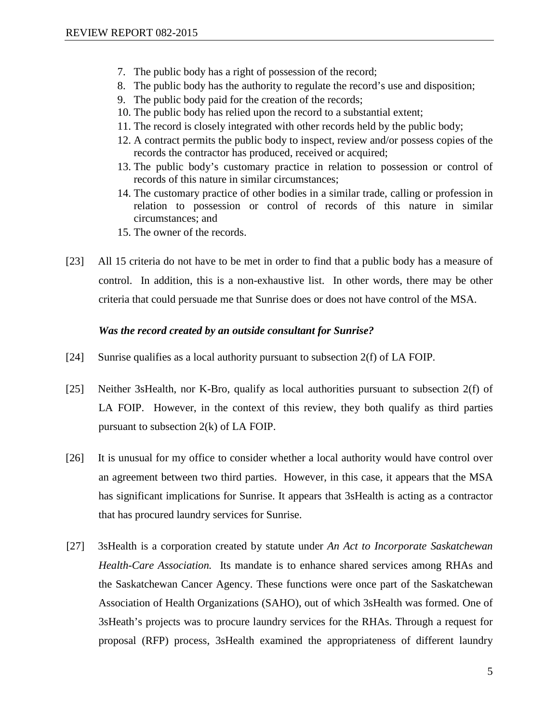- 7. The public body has a right of possession of the record;
- 8. The public body has the authority to regulate the record's use and disposition;
- 9. The public body paid for the creation of the records;
- 10. The public body has relied upon the record to a substantial extent;
- 11. The record is closely integrated with other records held by the public body;
- 12. A contract permits the public body to inspect, review and/or possess copies of the records the contractor has produced, received or acquired;
- 13. The public body's customary practice in relation to possession or control of records of this nature in similar circumstances;
- 14. The customary practice of other bodies in a similar trade, calling or profession in relation to possession or control of records of this nature in similar circumstances; and
- 15. The owner of the records.
- [23] All 15 criteria do not have to be met in order to find that a public body has a measure of control. In addition, this is a non-exhaustive list. In other words, there may be other criteria that could persuade me that Sunrise does or does not have control of the MSA.

#### *Was the record created by an outside consultant for Sunrise?*

- [24] Sunrise qualifies as a local authority pursuant to subsection 2(f) of LA FOIP.
- [25] Neither 3sHealth, nor K-Bro, qualify as local authorities pursuant to subsection 2(f) of LA FOIP. However, in the context of this review, they both qualify as third parties pursuant to subsection 2(k) of LA FOIP.
- [26] It is unusual for my office to consider whether a local authority would have control over an agreement between two third parties. However, in this case, it appears that the MSA has significant implications for Sunrise. It appears that 3sHealth is acting as a contractor that has procured laundry services for Sunrise.
- [27] 3sHealth is a corporation created by statute under *An Act to Incorporate Saskatchewan Health-Care Association.* Its mandate is to enhance shared services among RHAs and the Saskatchewan Cancer Agency. These functions were once part of the Saskatchewan Association of Health Organizations (SAHO), out of which 3sHealth was formed. One of 3sHeath's projects was to procure laundry services for the RHAs. Through a request for proposal (RFP) process, 3sHealth examined the appropriateness of different laundry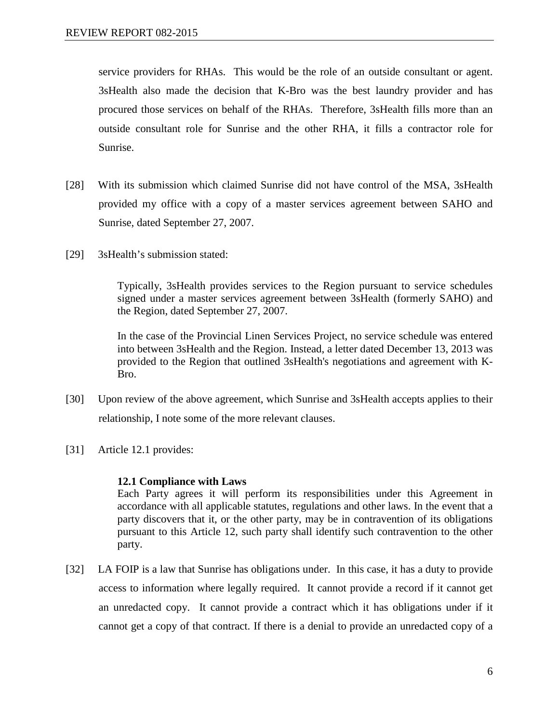service providers for RHAs. This would be the role of an outside consultant or agent. 3sHealth also made the decision that K-Bro was the best laundry provider and has procured those services on behalf of the RHAs. Therefore, 3sHealth fills more than an outside consultant role for Sunrise and the other RHA, it fills a contractor role for Sunrise.

- [28] With its submission which claimed Sunrise did not have control of the MSA, 3sHealth provided my office with a copy of a master services agreement between SAHO and Sunrise, dated September 27, 2007.
- [29] 3sHealth's submission stated:

Typically, 3sHealth provides services to the Region pursuant to service schedules signed under a master services agreement between 3sHealth (formerly SAHO) and the Region, dated September 27, 2007.

In the case of the Provincial Linen Services Project, no service schedule was entered into between 3sHealth and the Region. Instead, a letter dated December 13, 2013 was provided to the Region that outlined 3sHealth's negotiations and agreement with K-Bro.

- [30] Upon review of the above agreement, which Sunrise and 3sHealth accepts applies to their relationship, I note some of the more relevant clauses.
- [31] Article 12.1 provides:

### **12.1 Compliance with Laws**

Each Party agrees it will perform its responsibilities under this Agreement in accordance with all applicable statutes, regulations and other laws. In the event that a party discovers that it, or the other party, may be in contravention of its obligations pursuant to this Article 12, such party shall identify such contravention to the other party.

[32] LA FOIP is a law that Sunrise has obligations under. In this case, it has a duty to provide access to information where legally required. It cannot provide a record if it cannot get an unredacted copy. It cannot provide a contract which it has obligations under if it cannot get a copy of that contract. If there is a denial to provide an unredacted copy of a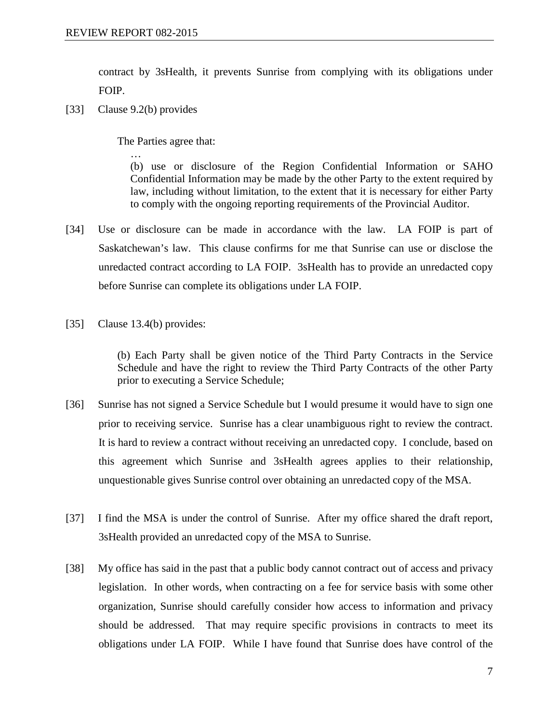contract by 3sHealth, it prevents Sunrise from complying with its obligations under FOIP.

[33] Clause 9.2(b) provides

The Parties agree that:

… (b) use or disclosure of the Region Confidential Information or SAHO Confidential Information may be made by the other Party to the extent required by law, including without limitation, to the extent that it is necessary for either Party to comply with the ongoing reporting requirements of the Provincial Auditor.

- [34] Use or disclosure can be made in accordance with the law. LA FOIP is part of Saskatchewan's law. This clause confirms for me that Sunrise can use or disclose the unredacted contract according to LA FOIP. 3sHealth has to provide an unredacted copy before Sunrise can complete its obligations under LA FOIP.
- [35] Clause 13.4(b) provides:

(b) Each Party shall be given notice of the Third Party Contracts in the Service Schedule and have the right to review the Third Party Contracts of the other Party prior to executing a Service Schedule;

- [36] Sunrise has not signed a Service Schedule but I would presume it would have to sign one prior to receiving service. Sunrise has a clear unambiguous right to review the contract. It is hard to review a contract without receiving an unredacted copy. I conclude, based on this agreement which Sunrise and 3sHealth agrees applies to their relationship, unquestionable gives Sunrise control over obtaining an unredacted copy of the MSA.
- [37] I find the MSA is under the control of Sunrise. After my office shared the draft report, 3sHealth provided an unredacted copy of the MSA to Sunrise.
- [38] My office has said in the past that a public body cannot contract out of access and privacy legislation. In other words, when contracting on a fee for service basis with some other organization, Sunrise should carefully consider how access to information and privacy should be addressed. That may require specific provisions in contracts to meet its obligations under LA FOIP. While I have found that Sunrise does have control of the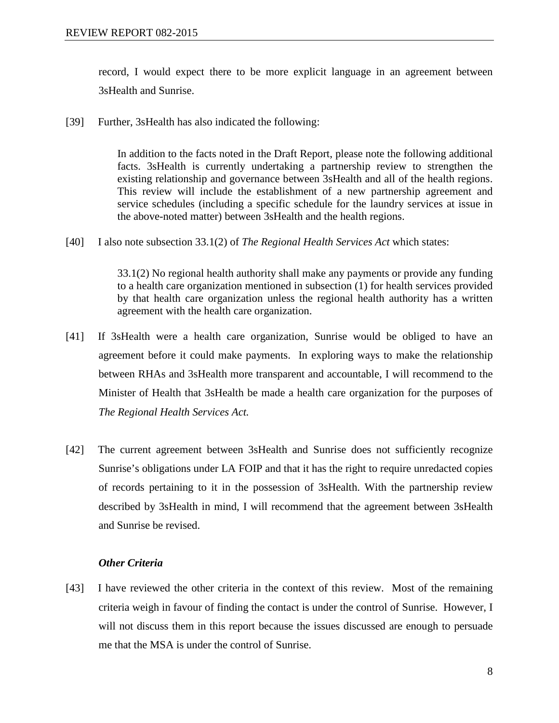record, I would expect there to be more explicit language in an agreement between 3sHealth and Sunrise.

[39] Further, 3sHealth has also indicated the following:

In addition to the facts noted in the Draft Report, please note the following additional facts. 3sHealth is currently undertaking a partnership review to strengthen the existing relationship and governance between 3sHealth and all of the health regions. This review will include the establishment of a new partnership agreement and service schedules (including a specific schedule for the laundry services at issue in the above-noted matter) between 3sHealth and the health regions.

[40] I also note subsection 33.1(2) of *The Regional Health Services Act* which states:

33.1(2) No regional health authority shall make any payments or provide any funding to a health care organization mentioned in subsection (1) for health services provided by that health care organization unless the regional health authority has a written agreement with the health care organization.

- [41] If 3sHealth were a health care organization, Sunrise would be obliged to have an agreement before it could make payments. In exploring ways to make the relationship between RHAs and 3sHealth more transparent and accountable, I will recommend to the Minister of Health that 3sHealth be made a health care organization for the purposes of *The Regional Health Services Act.*
- [42] The current agreement between 3sHealth and Sunrise does not sufficiently recognize Sunrise's obligations under LA FOIP and that it has the right to require unredacted copies of records pertaining to it in the possession of 3sHealth. With the partnership review described by 3sHealth in mind, I will recommend that the agreement between 3sHealth and Sunrise be revised.

### *Other Criteria*

[43] I have reviewed the other criteria in the context of this review. Most of the remaining criteria weigh in favour of finding the contact is under the control of Sunrise. However, I will not discuss them in this report because the issues discussed are enough to persuade me that the MSA is under the control of Sunrise.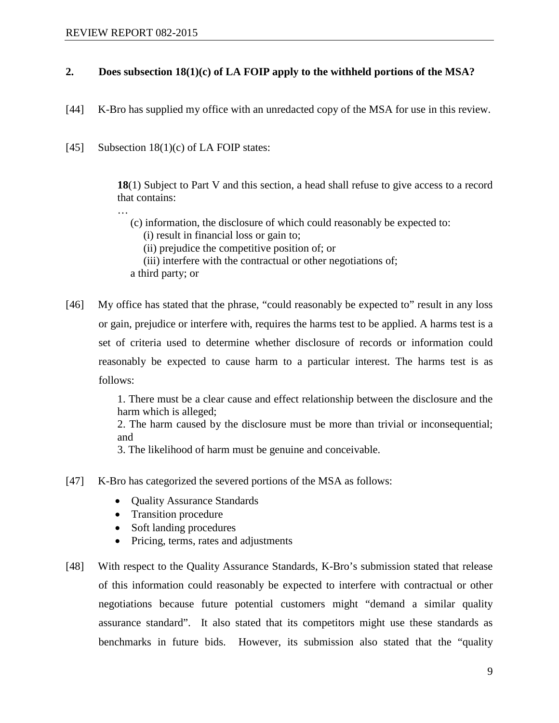# **2. Does subsection 18(1)(c) of LA FOIP apply to the withheld portions of the MSA?**

- [44] K-Bro has supplied my office with an unredacted copy of the MSA for use in this review.
- [45] Subsection  $18(1)(c)$  of LA FOIP states:

**18**(1) Subject to Part V and this section, a head shall refuse to give access to a record that contains:

…

- (c) information, the disclosure of which could reasonably be expected to:
	- (i) result in financial loss or gain to;

(ii) prejudice the competitive position of; or

(iii) interfere with the contractual or other negotiations of;

a third party; or

[46] My office has stated that the phrase, "could reasonably be expected to" result in any loss or gain, prejudice or interfere with, requires the harms test to be applied. A harms test is a set of criteria used to determine whether disclosure of records or information could reasonably be expected to cause harm to a particular interest. The harms test is as follows:

> 1. There must be a clear cause and effect relationship between the disclosure and the harm which is alleged;

> 2. The harm caused by the disclosure must be more than trivial or inconsequential; and

3. The likelihood of harm must be genuine and conceivable.

- [47] K-Bro has categorized the severed portions of the MSA as follows:
	- **Quality Assurance Standards**
	- Transition procedure
	- Soft landing procedures
	- Pricing, terms, rates and adjustments
- [48] With respect to the Quality Assurance Standards, K-Bro's submission stated that release of this information could reasonably be expected to interfere with contractual or other negotiations because future potential customers might "demand a similar quality assurance standard". It also stated that its competitors might use these standards as benchmarks in future bids. However, its submission also stated that the "quality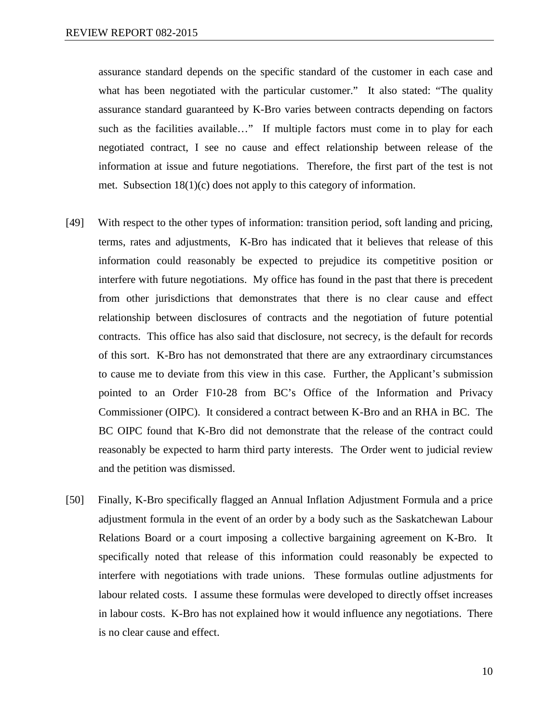assurance standard depends on the specific standard of the customer in each case and what has been negotiated with the particular customer." It also stated: "The quality assurance standard guaranteed by K-Bro varies between contracts depending on factors such as the facilities available…" If multiple factors must come in to play for each negotiated contract, I see no cause and effect relationship between release of the information at issue and future negotiations. Therefore, the first part of the test is not met. Subsection 18(1)(c) does not apply to this category of information.

- [49] With respect to the other types of information: transition period, soft landing and pricing, terms, rates and adjustments, K-Bro has indicated that it believes that release of this information could reasonably be expected to prejudice its competitive position or interfere with future negotiations. My office has found in the past that there is precedent from other jurisdictions that demonstrates that there is no clear cause and effect relationship between disclosures of contracts and the negotiation of future potential contracts. This office has also said that disclosure, not secrecy, is the default for records of this sort. K-Bro has not demonstrated that there are any extraordinary circumstances to cause me to deviate from this view in this case. Further, the Applicant's submission pointed to an Order F10-28 from BC's Office of the Information and Privacy Commissioner (OIPC). It considered a contract between K-Bro and an RHA in BC. The BC OIPC found that K-Bro did not demonstrate that the release of the contract could reasonably be expected to harm third party interests. The Order went to judicial review and the petition was dismissed.
- [50] Finally, K-Bro specifically flagged an Annual Inflation Adjustment Formula and a price adjustment formula in the event of an order by a body such as the Saskatchewan Labour Relations Board or a court imposing a collective bargaining agreement on K-Bro. It specifically noted that release of this information could reasonably be expected to interfere with negotiations with trade unions. These formulas outline adjustments for labour related costs. I assume these formulas were developed to directly offset increases in labour costs. K-Bro has not explained how it would influence any negotiations. There is no clear cause and effect.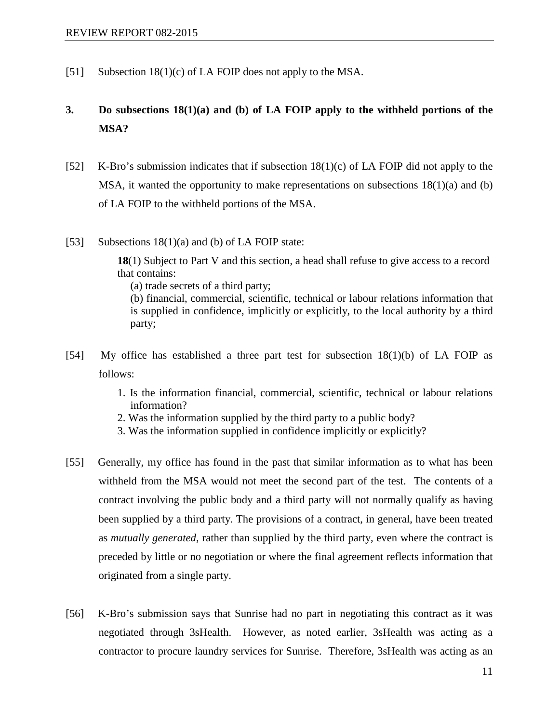[51] Subsection 18(1)(c) of LA FOIP does not apply to the MSA.

# **3. Do subsections 18(1)(a) and (b) of LA FOIP apply to the withheld portions of the MSA?**

- [52] K-Bro's submission indicates that if subsection  $18(1)(c)$  of LA FOIP did not apply to the MSA, it wanted the opportunity to make representations on subsections  $18(1)(a)$  and (b) of LA FOIP to the withheld portions of the MSA.
- [53] Subsections 18(1)(a) and (b) of LA FOIP state:

**18**(1) Subject to Part V and this section, a head shall refuse to give access to a record that contains:

(a) trade secrets of a third party;

(b) financial, commercial, scientific, technical or labour relations information that is supplied in confidence, implicitly or explicitly, to the local authority by a third party;

- [54] My office has established a three part test for subsection 18(1)(b) of LA FOIP as follows:
	- 1. Is the information financial, commercial, scientific, technical or labour relations information?
	- 2. Was the information supplied by the third party to a public body?
	- 3. Was the information supplied in confidence implicitly or explicitly?
- [55] Generally, my office has found in the past that similar information as to what has been withheld from the MSA would not meet the second part of the test. The contents of a contract involving the public body and a third party will not normally qualify as having been supplied by a third party. The provisions of a contract, in general, have been treated as *mutually generated*, rather than supplied by the third party, even where the contract is preceded by little or no negotiation or where the final agreement reflects information that originated from a single party.
- [56] K-Bro's submission says that Sunrise had no part in negotiating this contract as it was negotiated through 3sHealth. However, as noted earlier, 3sHealth was acting as a contractor to procure laundry services for Sunrise. Therefore, 3sHealth was acting as an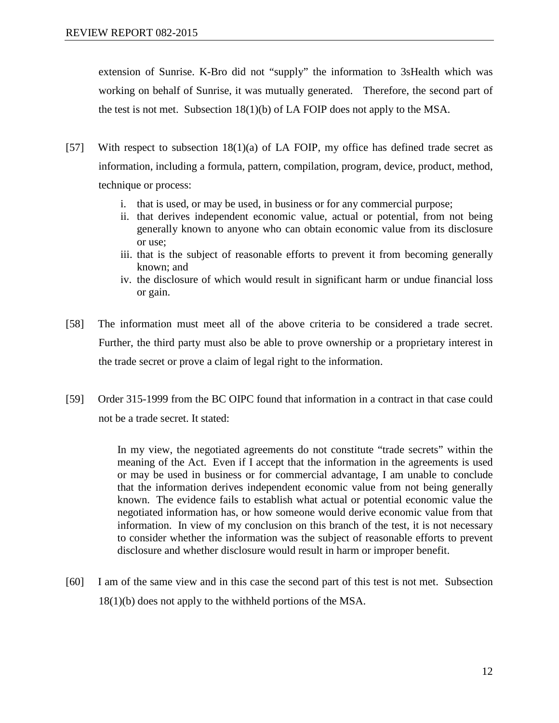extension of Sunrise. K-Bro did not "supply" the information to 3sHealth which was working on behalf of Sunrise, it was mutually generated. Therefore, the second part of the test is not met. Subsection 18(1)(b) of LA FOIP does not apply to the MSA.

- [57] With respect to subsection 18(1)(a) of LA FOIP, my office has defined trade secret as information, including a formula, pattern, compilation, program, device, product, method, technique or process:
	- i. that is used, or may be used, in business or for any commercial purpose;
	- ii. that derives independent economic value, actual or potential, from not being generally known to anyone who can obtain economic value from its disclosure or use;
	- iii. that is the subject of reasonable efforts to prevent it from becoming generally known; and
	- iv. the disclosure of which would result in significant harm or undue financial loss or gain.
- [58] The information must meet all of the above criteria to be considered a trade secret. Further, the third party must also be able to prove ownership or a proprietary interest in the trade secret or prove a claim of legal right to the information.
- [59] Order 315-1999 from the BC OIPC found that information in a contract in that case could not be a trade secret. It stated:

In my view, the negotiated agreements do not constitute "trade secrets" within the meaning of the Act. Even if I accept that the information in the agreements is used or may be used in business or for commercial advantage, I am unable to conclude that the information derives independent economic value from not being generally known. The evidence fails to establish what actual or potential economic value the negotiated information has, or how someone would derive economic value from that information. In view of my conclusion on this branch of the test, it is not necessary to consider whether the information was the subject of reasonable efforts to prevent disclosure and whether disclosure would result in harm or improper benefit.

[60] I am of the same view and in this case the second part of this test is not met. Subsection 18(1)(b) does not apply to the withheld portions of the MSA.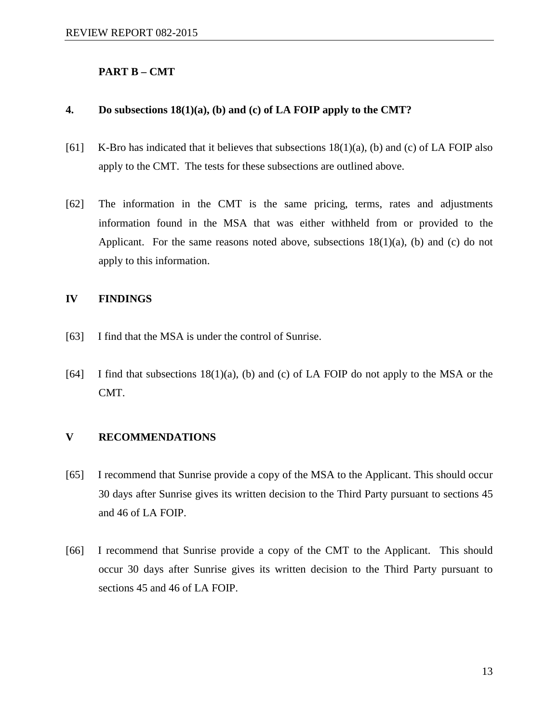### **PART B – CMT**

#### **4. Do subsections 18(1)(a), (b) and (c) of LA FOIP apply to the CMT?**

- [61] K-Bro has indicated that it believes that subsections  $18(1)(a)$ , (b) and (c) of LA FOIP also apply to the CMT. The tests for these subsections are outlined above.
- [62] The information in the CMT is the same pricing, terms, rates and adjustments information found in the MSA that was either withheld from or provided to the Applicant. For the same reasons noted above, subsections  $18(1)(a)$ , (b) and (c) do not apply to this information.

### **IV FINDINGS**

- [63] I find that the MSA is under the control of Sunrise.
- [64] I find that subsections  $18(1)(a)$ , (b) and (c) of LA FOIP do not apply to the MSA or the CMT.

### **V RECOMMENDATIONS**

- [65] I recommend that Sunrise provide a copy of the MSA to the Applicant. This should occur 30 days after Sunrise gives its written decision to the Third Party pursuant to sections 45 and 46 of LA FOIP.
- [66] I recommend that Sunrise provide a copy of the CMT to the Applicant. This should occur 30 days after Sunrise gives its written decision to the Third Party pursuant to sections 45 and 46 of LA FOIP.